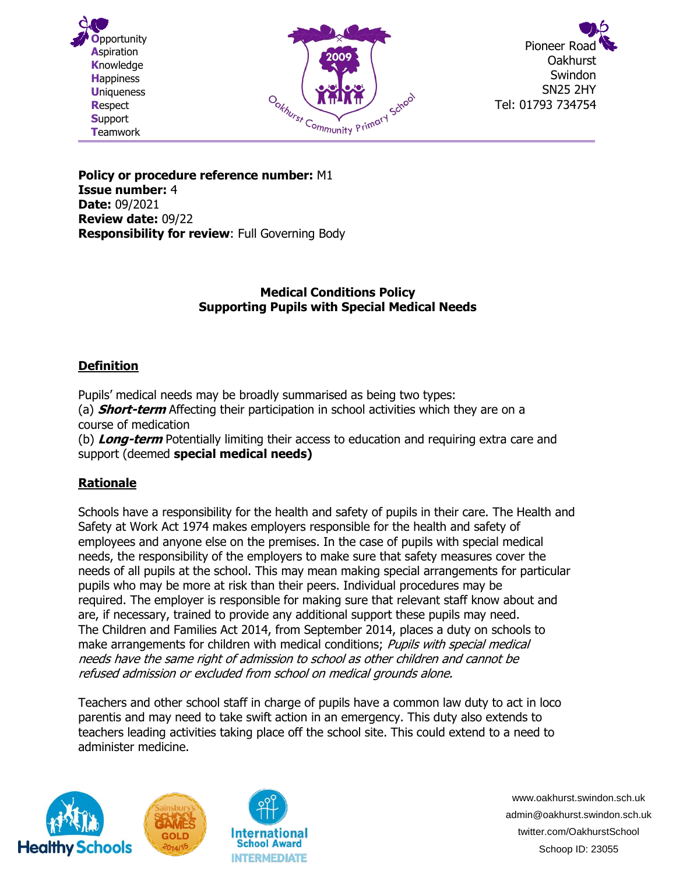





**Policy or procedure reference number:** M1 **Issue number:** 4 **Date:** 09/2021 **Review date:** 09/22 **Responsibility for review**: Full Governing Body

### **Medical Conditions Policy Supporting Pupils with Special Medical Needs**

# **Definition**

Pupils' medical needs may be broadly summarised as being two types: (a) **Short-term** Affecting their participation in school activities which they are on a

course of medication (b) **Long-term** Potentially limiting their access to education and requiring extra care and support (deemed **special medical needs)**

# **Rationale**

Schools have a responsibility for the health and safety of pupils in their care. The Health and Safety at Work Act 1974 makes employers responsible for the health and safety of employees and anyone else on the premises. In the case of pupils with special medical needs, the responsibility of the employers to make sure that safety measures cover the needs of all pupils at the school. This may mean making special arrangements for particular pupils who may be more at risk than their peers. Individual procedures may be required. The employer is responsible for making sure that relevant staff know about and are, if necessary, trained to provide any additional support these pupils may need. The Children and Families Act 2014, from September 2014, places a duty on schools to make arrangements for children with medical conditions; Pupils with special medical needs have the same right of admission to school as other children and cannot be refused admission or excluded from school on medical grounds alone.

Teachers and other school staff in charge of pupils have a common law duty to act in loco parentis and may need to take swift action in an emergency. This duty also extends to teachers leading activities taking place off the school site. This could extend to a need to administer medicine.



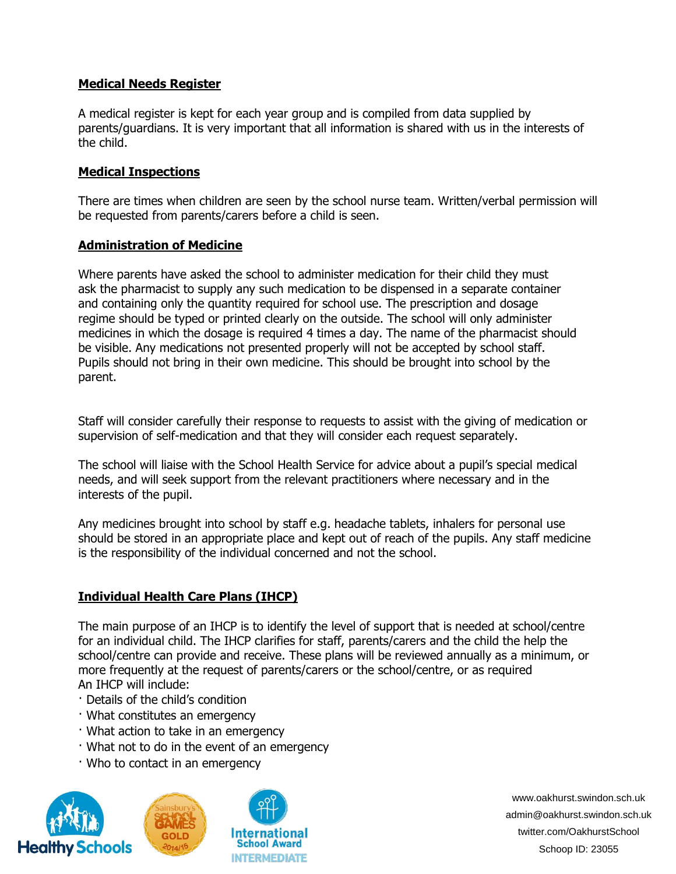#### **Medical Needs Register**

A medical register is kept for each year group and is compiled from data supplied by parents/guardians. It is very important that all information is shared with us in the interests of the child.

#### **Medical Inspections**

There are times when children are seen by the school nurse team. Written/verbal permission will be requested from parents/carers before a child is seen.

#### **Administration of Medicine**

Where parents have asked the school to administer medication for their child they must ask the pharmacist to supply any such medication to be dispensed in a separate container and containing only the quantity required for school use. The prescription and dosage regime should be typed or printed clearly on the outside. The school will only administer medicines in which the dosage is required 4 times a day. The name of the pharmacist should be visible. Any medications not presented properly will not be accepted by school staff. Pupils should not bring in their own medicine. This should be brought into school by the parent.

Staff will consider carefully their response to requests to assist with the giving of medication or supervision of self-medication and that they will consider each request separately.

The school will liaise with the School Health Service for advice about a pupil's special medical needs, and will seek support from the relevant practitioners where necessary and in the interests of the pupil.

Any medicines brought into school by staff e.g. headache tablets, inhalers for personal use should be stored in an appropriate place and kept out of reach of the pupils. Any staff medicine is the responsibility of the individual concerned and not the school.

## **Individual Health Care Plans (IHCP)**

The main purpose of an IHCP is to identify the level of support that is needed at school/centre for an individual child. The IHCP clarifies for staff, parents/carers and the child the help the school/centre can provide and receive. These plans will be reviewed annually as a minimum, or more frequently at the request of parents/carers or the school/centre, or as required An IHCP will include:

- · Details of the child's condition
- · What constitutes an emergency
- · What action to take in an emergency
- · What not to do in the event of an emergency
- · Who to contact in an emergency





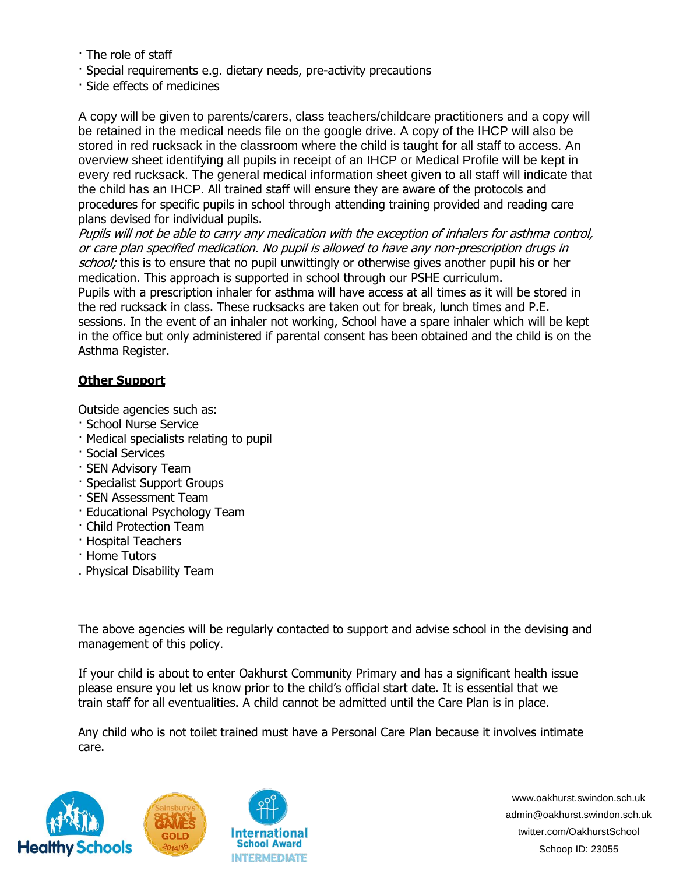- · The role of staff
- · Special requirements e.g. dietary needs, pre-activity precautions
- · Side effects of medicines

A copy will be given to parents/carers, class teachers/childcare practitioners and a copy will be retained in the medical needs file on the google drive. A copy of the IHCP will also be stored in red rucksack in the classroom where the child is taught for all staff to access. An overview sheet identifying all pupils in receipt of an IHCP or Medical Profile will be kept in every red rucksack. The general medical information sheet given to all staff will indicate that the child has an IHCP. All trained staff will ensure they are aware of the protocols and procedures for specific pupils in school through attending training provided and reading care plans devised for individual pupils.

Pupils will not be able to carry any medication with the exception of inhalers for asthma control, or care plan specified medication. No pupil is allowed to have any non-prescription drugs in school; this is to ensure that no pupil unwittingly or otherwise gives another pupil his or her medication. This approach is supported in school through our PSHE curriculum.

Pupils with a prescription inhaler for asthma will have access at all times as it will be stored in the red rucksack in class. These rucksacks are taken out for break, lunch times and P.E. sessions. In the event of an inhaler not working, School have a spare inhaler which will be kept in the office but only administered if parental consent has been obtained and the child is on the Asthma Register.

# **Other Support**

Outside agencies such as:

- · School Nurse Service
- · Medical specialists relating to pupil
- · Social Services
- · SEN Advisory Team
- · Specialist Support Groups
- · SEN Assessment Team
- · Educational Psychology Team
- · Child Protection Team
- · Hospital Teachers
- · Home Tutors
- . Physical Disability Team

The above agencies will be regularly contacted to support and advise school in the devising and management of this policy.

If your child is about to enter Oakhurst Community Primary and has a significant health issue please ensure you let us know prior to the child's official start date. It is essential that we train staff for all eventualities. A child cannot be admitted until the Care Plan is in place.

Any child who is not toilet trained must have a Personal Care Plan because it involves intimate care.